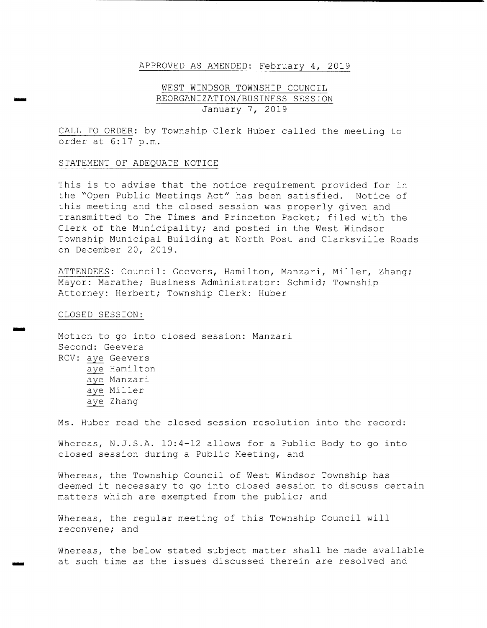### APPROVED AS AMENDED: February 4 , 2019

# WEST WINDSOR TOWNSHIP COUNCIL REORGANIZATION/ BUSINESS SESSION January 7, 2019

CALL TO ORDER: by Township Clerk Huber called the meeting to order at 6: 17 p. m.

#### STATEMENT OF ADEQUATE NOTICE

This is to advise that the notice requirement provided for in the "Open Public Meetings Act" has been satisfied. Notice of this meeting and the closed session was properly given and transmitted to The Times and Princeton Packet; filed with the Clerk of the Municipality; and posted in the West Windsor Township Municipal Building at North Post and Clarksville Roads on December 20, 2019 .

ATTENDEES: Council: Geevers, Hamilton, Manzari, Miller, Zhang; Mayor: Marathe; Business Administrator: Schmid; Township Attorney: Herbert; Township Clerk: Huber

CLOSED SESSION:

IMO

Motion to go into closed session: Manzari Second: Geevers RCV: aye Geevers aye Hamilton aye Manzari aye Miller aye Zhang

Ms. Huber read the closed session resolution into the record:

Whereas, N.J.S.A. 10:4-12 allows for a Public Body to go into closed session during <sup>a</sup> Public Meeting, and

Whereas, the Township Council of West Windsor Township has deemed it necessary to go into closed session to discuss certain matters which are exempted from the public; and

Whereas, the regular meeting of this Township Council will reconvene; and

Whereas, the below stated subject matter shall be made available at such time as the issues discussed therein are resolved and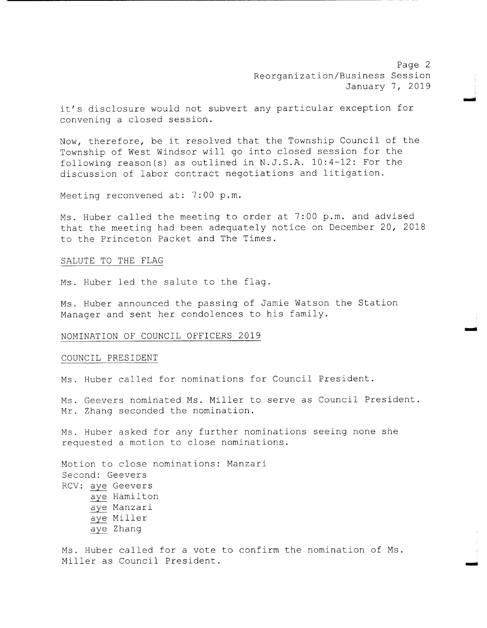Page 2 Reorganization/ Business Session January 7, 2019

emir

o

it's disclosure would not subvert any particular exception for convening <sup>a</sup> closed session.

Now, therefore, be it resolved that the Township Council of the Township of West Windsor will go into closed session for the following reason(s) as outlined in  $N.J.S.A. 10:4-12$ : For the discussion of labor contract negotiations and litigation.

Meeting reconvened at: 7:00 p.m.

Ms. Huber called the meeting to order at 7:00 p.m. and advised that the meeting had been adequately notice on December 20, <sup>2018</sup> to the Princeton Packet and The Times .

#### SALUTE TO THE FLAG

Ms. Huber led the salute to the flag.

Ms . Huber announced the passing of Jamie Watson the Station Manager and sent her condolences to his family.

### NOMINATION OF COUNCIL OFFICERS 2019

#### COUNCIL PRESIDENT

Ms . Huber called for nominations for Council President .

Ms. Geevers nominated Ms. Miller to serve as Council President. Mr. Zhang seconded the nomination.

Ms . Huber asked for any further nominations seeing none she requested <sup>a</sup> motion to close nominations .

Motion to close nominations: Manzari Second: Geevers RCV: aye Geevers aye Hamilton aye Manzari aye Miller aye Zhang

Ms. Huber called for a vote to confirm the nomination of Ms. Miller as Council President.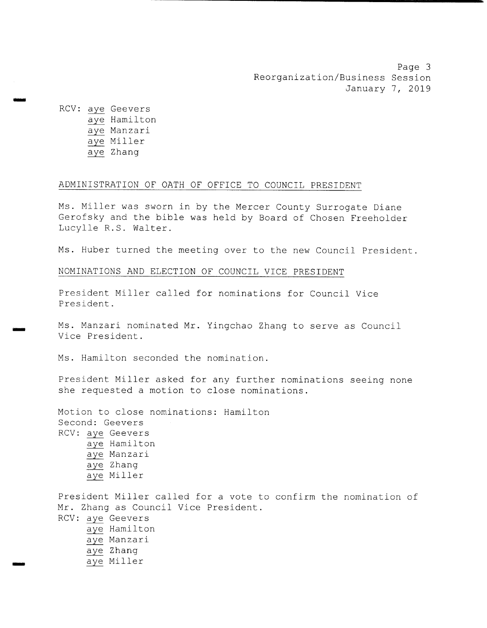Page 3 Reorganization/ Business Session January 7, 2019

RCV: aye Geevers aye Hamilton aye Manzari aye Miller aye Zhang

ono

m\_

## ADMINISTRATION OF OATH OF OFFICE TO COUNCIL PRESIDENT

Ms. Miller was sworn in by the Mercer County Surrogate Diane Gerofsky and the bible was held by Board of Chosen Freeholder Lucylle R.S. Walter.

Ms. Huber turned the meeting over to the new Council President.

# NOMINATIONS AND ELECTION OF COUNCIL VICE PRESIDENT

President Miller called for nominations for Council Vice President .

Ms. Manzari nominated Mr. Yingchao Zhang to serve as Council Vice President .

Ms. Hamilton seconded the nomination.

President Miller asked for any further nominations seeing none she requested <sup>a</sup> motion to close nominations .

Motion to close nominations: Hamilton Second: Geevers RCV: aye Geevers aye Hamilton aye Manzari aye Zhang aye Miller

President Miller called for <sup>a</sup> vote to confirm the nomination of Mr. Zhang as Council Vice President. RCV: aye Geevers aye Hamilton aye Manzari aye Zhang aye Miller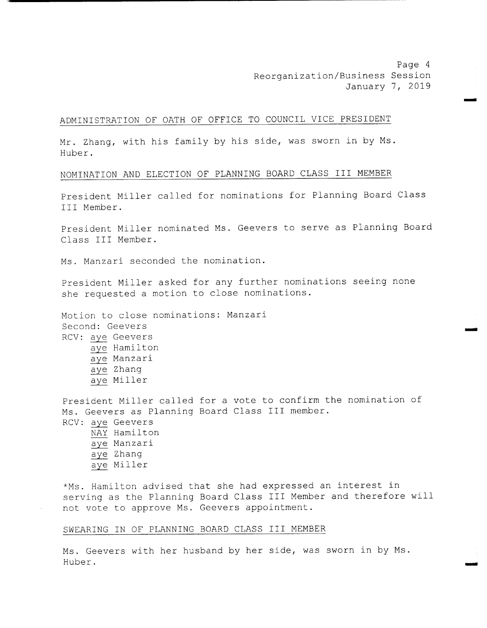Page <sup>4</sup> Reorganization/ Business Session January 7, 2019

MIN

## ADMINISTRATION OF OATH OF OFFICE TO COUNCIL VICE PRESIDENT

Mr. Zhang, with his family by his side, was sworn in by Ms. Huber .

#### NOMINATION AND ELECTION OF PLANNING BOARD CLASS III MEMBER

President Miller called for nominations for Planning Board Class III Member .

President Miller nominated Ms. Geevers to serve as Planning Board Class III Member.

Ms. Manzari seconded the nomination.

President Miller asked for any further nominations seeing none she requested <sup>a</sup> motion to close nominations .

Motion to close nominations: Manzari Second: Geevers RCV: aye Geevers aye Hamilton aye Manzari aye Zhang aye Miller

President Miller called for <sup>a</sup> vote to confirm the nomination of Ms. Geevers as Planning Board Class III member. RCV: aye Geevers NAY Hamilton aye Manzari aye Zhang aye Miller

\*Ms. Hamilton advised that she had expressed an interest in serving as the Planning Board Class III Member and therefore will not vote to approve Ms. Geevers appointment.

#### SWEARING IN OF PLANNING BOARD CLASS III MEMBER

Ms . Geevers with her husband by her side, was sworn in by Ms . Huber.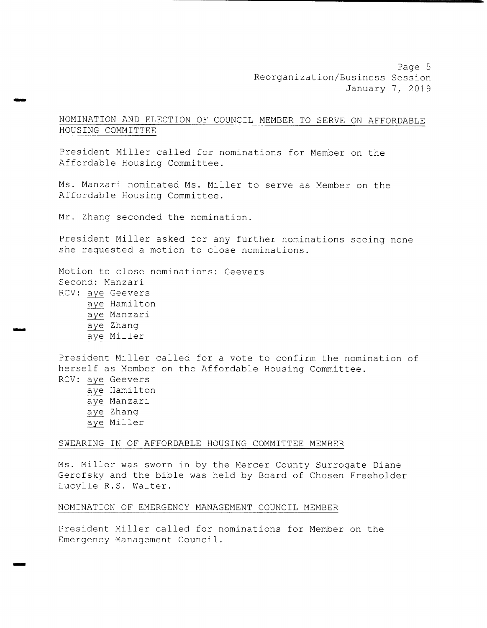NOMINATION AND ELECTION OF COUNCIL MEMBER TO SERVE ON AFFORDABLE HOUSING COMMITTEE

President Miller called for nominations for Member on the Affordable Housing Committee .

Ms. Manzari nominated Ms. Miller to serve as Member on the Affordable Housing Committee.

Mr. Zhang seconded the nomination.

سنت

President Miller asked for any further nominations seeing none she requested <sup>a</sup> motion to close nominations .

Motion to close nominations: Geevers Second: Manzari RCV: aye Geevers aye Hamilton aye Manzari<br>
aye Zhang aye Zhang<br>aye Miller

> President Miller called for <sup>a</sup> vote to confirm the nomination of herself as Member on the Affordable Housing Committee . RCV: aye Geevers aye Hamilton aye Manzari aye Zhang aye Miller

## SWEARING IN OF AFFORDABLE HOUSING COMMITTEE MEMBER

Ms . Miller was sworn in by the Mercer County Surrogate Diane Gerofsky and the bible was held by Board of Chosen Freeholder Lucylle R.S. Walter.

## NOMINATION OF EMERGENCY MANAGEMENT COUNCIL MEMBER

President Miller called for nominations for Member on the Emergency Management Council .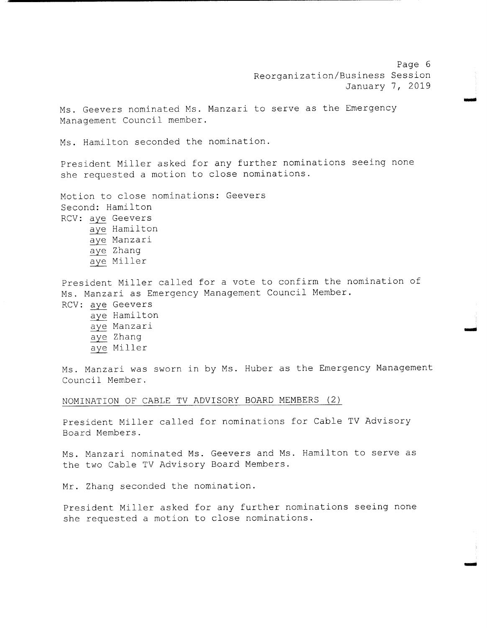Page 6 Reorganization/ Business Session January 7, 2019

wpm

Ms. Geevers nominated Ms. Manzari to serve as the Emergency Management Council member.

Ms. Hamilton seconded the nomination.

President Miller asked for any further nominations seeing none she requested <sup>a</sup> motion to close nominations .

Motion to close nominations: Geevers Second: Hamilton RCV: aye Geevers aye Hamilton aye Manzari aye Zhang aye Miller

President Miller called for <sup>a</sup> vote to confirm the nomination of Ms . Manzari as Emergency Management Council Member. RCV: aye Geevers aye Hamilton aye Manzari aye Zhang aye Miller

Ms. Manzari was sworn in by Ms. Huber as the Emergency Management Council Member .

#### NOMINATION OF CABLE TV ADVISORY BOARD MEMBERS (2)

President Miller called for nominations for Cable TV Advisory Board Members .

Ms. Manzari nominated Ms. Geevers and Ms. Hamilton to serve as the two Cable TV Advisory Board Members.

Mr. Zhang seconded the nomination.

President Miller asked for any further nominations seeing none she requested <sup>a</sup> motion to close nominations .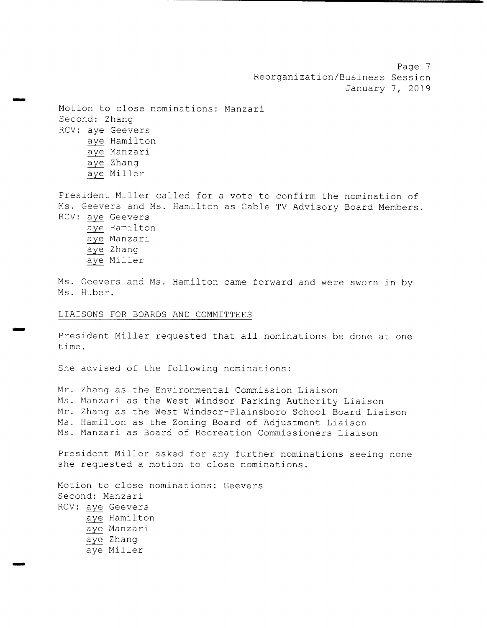Page <sup>7</sup> Reorganization/ Business Session January 7, 2019

Motion to close nominations: Manzari Second: Zhang RCV: aye Geevers aye Hamilton aye Manzari aye Zhang aye Miller

mom

President Miller called for <sup>a</sup> vote to confirm the nomination of Ms. Geevers and Ms. Hamilton as Cable TV Advisory Board Members. RCV: aye Geevers aye Hamilton aye Manzari aye Zhang aye Miller

Ms. Geevers and Ms. Hamilton came forward and were sworn in by Ms. Huber.

#### LIAISONS FOR BOARDS AND COMMITTEES

President Miller requested that all nominations be done at one time .

She advised of the following nominations:

Mr. Zhang as the Environmental Commission Liaison Ms. Manzari as the West Windsor Parking Authority Liaison Mr. Zhang as the West Windsor- Plainsboro School Board Liaison Ms . Hamilton as the Zoning Board of Adjustment Liaison Ms . Manzari as Board of Recreation Commissioners Liaison

President Miller asked for any further nominations seeing none she requested <sup>a</sup> motion to close nominations .

Motion to close nominations: Geevers Second: Manzari RCV: aye Geevers aye Hamilton aye Manzari aye Zhang aye Miller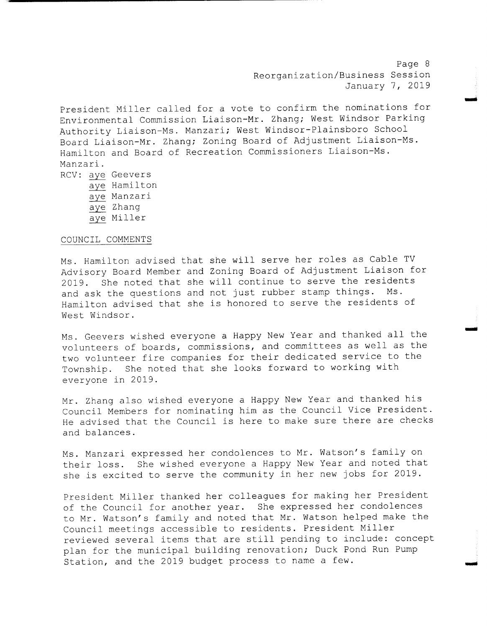Page <sup>8</sup> Reorganization/ Business Session January 7, 2019

r

moo

President Miller called for <sup>a</sup> vote to confirm the nominations for Environmental Commission Liaison-Mr. Zhang; West Windsor Parking Authority Liaison-Ms. Manzari; West Windsor-Plainsboro School Board Liaison-Mr. Zhang; Zoning Board of Adjustment Liaison-Ms. Hamilton and Board of Recreation Commissioners Liaison-Ms. Manzari .

RCV: aye Geevers aye Hamilton aye Manzari aye Zhang aye Miller

#### COUNCIL COMMENTS

Ms. Hamilton advised that she will serve her roles as Cable TV Advisory Board Member and Zoning Board of Adjustment Liaison for 2019. She noted that she will continue to serve the residents<br>and ask the questions and not just rubber stamp things. Ms. and ask the questions and not just rubber stamp things. Hamilton advised that she is honored to serve the residents of West Windsor .

Ms . Geevers wished everyone <sup>a</sup> Happy New Year and thanked all the volunteers of boards, commissions, and committees as well as the two volunteer fire companies for their dedicated service to the Township. She noted that she looks forward to working with everyone in 2019 .

Mr. Zhang also wished everyone <sup>a</sup> Happy New Year and thanked his Council Members for nominating him as the Council Vice President . He advised that the Council is here to make sure there are checks and balances .

Ms. Manzari expressed her condolences to Mr. Watson's family on their loss. She wished everyone a Happy New Year and noted that she is excited to serve the community in her new jobs for 2019 .

President Miller thanked her colleagues for making her President of the Council for another year. She expressed her condolences to Mr. Watson's family and noted that Mr. Watson helped make the Council meetings accessible to residents. President Miller reviewed several items that are still pending to include: concept plan for the municipal building renovation; Duck Pond Run Pump Station, and the 2019 budget process to name <sup>a</sup> few.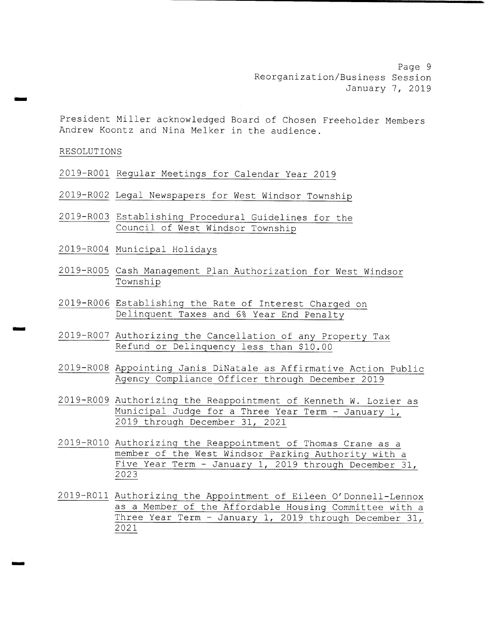Page 9 Reorganization/ Business Session January 7, 2019

President Miller acknowledged Board of Chosen Freeholder Members Andrew Koontz and Nina Melker in the audience .

# RESOLUTIONS

drime

ems

2019- R001 Regular Meetings for Calendar Year 2019

- 2019- R002 Legal Newspapers for West Windsor Township
- 2019- R003 Establishing Procedural Guidelines for the Council of West Windsor Township
- 2019- R004 Municipal Holidays
- 2019- R005 Cash Management Plan Authorization for West Windsor Township
- 2019- R006 Establishing the Rate of Interest Charged on Delinquent Taxes and 6% Year End Penalty
- 2019- R007 Authorizing the Cancellation of any Property Tax Refund or Delinquency less than \$10 . 00
- 2019- R008 Appointing Janis DiNatale as Affirmative Action Public Agency Compliance Officer through December 2019
- 2019- R009 Authorizing the Reappointment of Kenneth W. Lozier as Municipal Judge for <sup>a</sup> Three Year Term - January 1, 2019 through December 31, 2021
- 2019- RO10 Authorizing the Reappointment of Thomas Crane as <sup>a</sup> member of the West Windsor Parking Authority with <sup>a</sup> Five Year Term - January 1, 2019 through December 31, 2023
- 2019- R011 Authorizing the Appointment of Eileen <sup>O</sup>' Donnell- Lennox as <sup>a</sup> Member of the Affordable Housing Committee with <sup>a</sup> Three Year Term - January 1, 2019 through December 31, 2021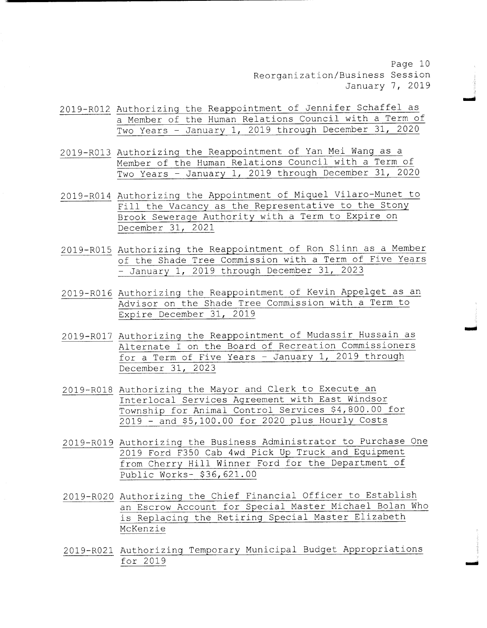Page 10 Reorganization/ Business Session January 7, 2019

.<br>ش

amiii

- 2019- R012 Authorizing the Reappointment of Jennifer Schaffel as <sup>a</sup> Member of the Human Relations Council with <sup>a</sup> Term of Two Years - January 1, <sup>2019</sup> through December 31, 2020
- 2019- R013 Authorizing the Reappointment of Yan Mei Wang as <sup>a</sup> Member of the Human Relations Council with <sup>a</sup> Term of Two Years - January 1, <sup>2019</sup> through December 31, <sup>2020</sup>
- 2019-R014 Authorizing the Appointment of Miquel Vilaro-Munet to Fill the Vacancy as the Representative to the Stony Brook Sewerage Authority with <sup>a</sup> Term to Expire on December 31, 2021
- 2019- R015 Authorizing the Reappointment of Ron Slinn as <sup>a</sup> Member of the Shade Tree Commission with <sup>a</sup> Term of Five Years - January 1, 2019 through December 31, 2023
- 2019- R016 Authorizing the Reappointment of Kevin Appelget as an Advisor on the Shade Tree Commission with <sup>a</sup> Term to Expire December 31, 2019
- 2019- R017 Authorizing the Reappointment of Mudassir Hussain as Alternate I on the Board of Recreation Commissioners for a Term of Five Years - January 1, 2019 through December 31, 2023
- 2019- R018 Authorizing the Mayor and Clerk to Execute an Interlocal Services Agreement with East Windsor Township for Animal Control Services \$4 , 800 . 00 for  $2019$  - and  $$5,100.00$  for 2020 plus Hourly Costs
- 2019- R019 Authorizing the Business Administrator to Purchase One 2019 Ford F350 Cab 4wd Pick Up Truck and Equipment from Cherry Hill Winner Ford for the Department of Public Works- \$36,621.00
- 2019- R020 Authorizing the Chief Financial Officer to Establish an Escrow Account for Special Master Michael Bolan Who is Replacing the Retiring Special Master Elizabeth McKenzie
- 2019- R021 Authorizing Temporary Municipal Budget Appropriations for 2019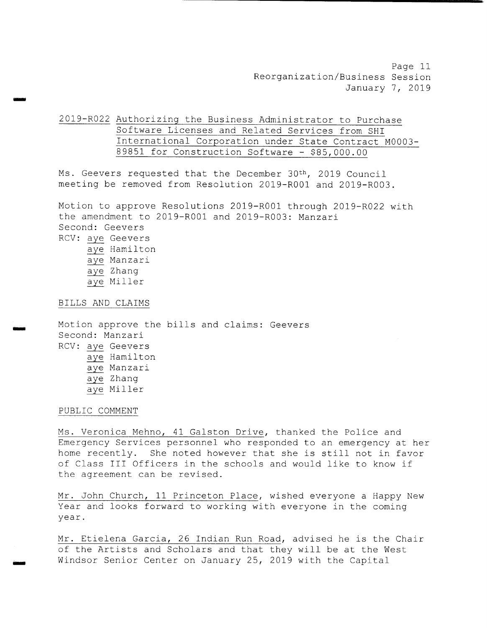Page 11 Reorganization/ Business Session January 7, 2019

2019-R022 Authorizing the Business Administrator to Purchase Software Licenses and Related Services from SHI International Corporation under State Contract M0003- 89851 for Construction Software  $-$  \$85,000.00

Ms. Geevers requested that the December 30<sup>th</sup>, 2019 Council meeting be removed from Resolution 2019-R001 and 2019-R003.

Motion to approve Resolutions 2019- R001 through 2019- R022 with the amendment to 2019-R001 and 2019-R003: Manzari Second: Geevers RCV: aye Geevers aye Hamilton

aye Manzari aye Zhang aye Miller

BILLS AND CLAIMS

moo

irmo

Motion approve the bills and claims: Geevers Second: Manzari RCV: aye Geevers aye Hamilton aye Manzari aye Zhang aye Miller

PUBLIC COMMENT

Ms. Veronica Mehno, 41 Galston Drive, thanked the Police and Emergency Services personnel who responded to an emergency at her home recently. She noted however that she is still not in favor of Class III Officers in the schools and would like to know if the agreement can be revised.

Mr. John Church, <sup>11</sup> Princeton Place, wished everyone <sup>a</sup> Happy New Year and looks forward to working with everyone in the coming year.

Mr. Etielena Garcia, <sup>26</sup> Indian Run Road, advised he is the Chair of the Artists and Scholars and that they will be at the West Windsor Senior Center on January 25, 2019 with the Capital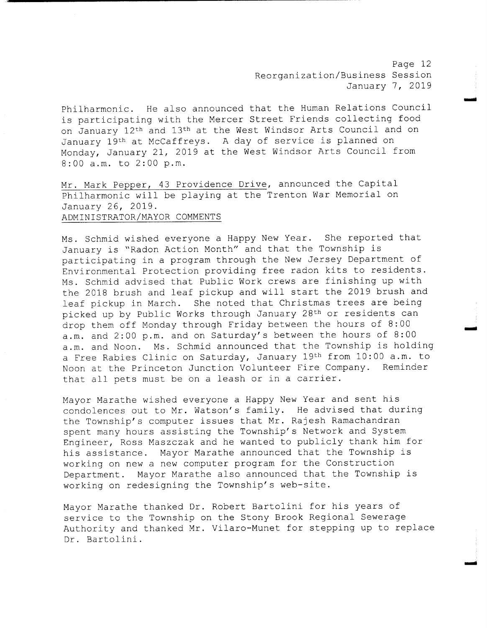Page 12 Reorganization/ Business Session January 7, 2019

mom

Philharmonic. He also announced that the Human Relations Council is participating with the Mercer Street Friends collecting food on January 12th and 13th at the West Windsor Arts Council and on January 19th at McCaffreys. A day of service is planned on Monday, January 21, <sup>2019</sup> at the West Windsor Arts Council from 8:00 a.m. to 2:00 p.m.

Mr. Mark Pepper, <sup>43</sup> Providence Drive, announced the Capital Philharmonic will be playing at the Trenton War Memorial on January 26, 2019 . ADMINISTRATOR/ MAYOR COMMENTS

Ms. Schmid wished everyone a Happy New Year. She reported that January is "Radon Action Month" and that the Township is participating in <sup>a</sup> program through the New Jersey Department of Environmental Protection providing free radon kits to residents . Ms . Schmid advised that Public Work crews are finishing up with the <sup>2018</sup> brush and leaf pickup and will start the <sup>2019</sup> brush and leaf pickup in March. She noted that Christmas trees are being picked up by Public Works through January 28th or residents can drop them off Monday through Friday between the hours of 8:00 a.m. and 2:00 p.m. and on Saturday's between the hours of 8:00 a.m. and Noon. Ms. Schmid announced that the Township is holding a Free Rabies Clinic on Saturday, January 19th from 10:00 a.m. to Noon at the Princeton Junction Volunteer Fire Company. Reminder that all pets must be on <sup>a</sup> leash or in <sup>a</sup> carrier.

Mayor Marathe wished everyone <sup>a</sup> Happy New Year and sent his condolences out to Mr. Watson' <sup>s</sup> family. He advised that during the Township's computer issues that Mr. Rajesh Ramachandran spent many hours assisting the Township's Network and System Engineer, Ross Maszczak and he wanted to publicly thank him for his assistance. Mayor Marathe announced that the Township is working on new <sup>a</sup> new computer program for the Construction Department. Mayor Marathe also announced that the Township is working on redesigning the Township's web-site.

Mayor Marathe thanked Dr. Robert Bartolini for his years of service to the Township on the Stony Brook Regional Sewerage Authority and thanked Mr. Vilaro-Munet for stepping up to replace Dr. Bartolini.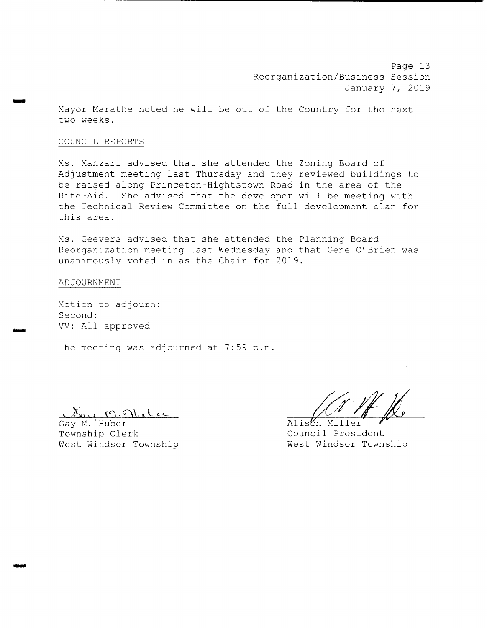Page 13 Reorganization/ Business Session January 7, 2019

Mayor Marathe noted he will be out of the Country for the next two weeks .

## COUNCIL REPORTS

SOW

IMO

Ms. Manzari advised that she attended the Zoning Board of Adjustment meeting last Thursday and they reviewed buildings to be raised along Princeton-Hightstown Road in the area of the Rite-Aid. She advised that the developer will be meeting with the Technical Review Committee on the full development plan for this area .

Ms. Geevers advised that she attended the Planning Board Reorganization meeting last Wednesday and that Gene <sup>O</sup>' Brien was unanimously voted in as the Chair for 2019 .

#### ADJOURNMENT

Motion to adjourn: Second: VV: All approved

 $\sim 10^{-2}$ 

The meeting was adjourned at 7:59 p.m.

Gay M. Huber<br>Gay M. Huber<br>Township Clerk ... Council President West Windsor Township

Township Clerk<br>
West Windsor Township<br>
West Windsor Township<br>
West Windsor Township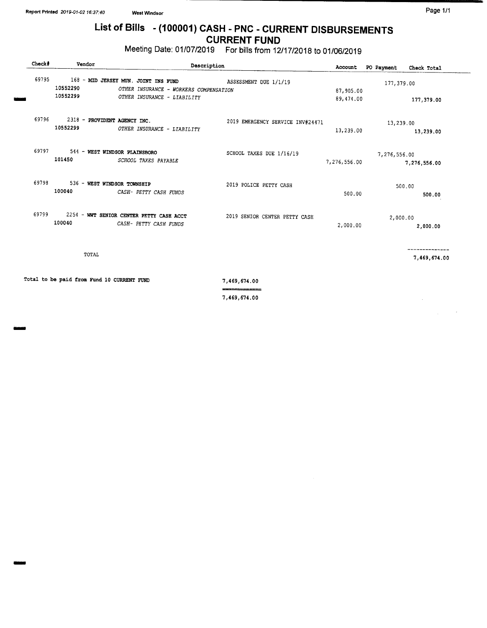mmoi

# List of Bills - (100001) CASH - PNC - CURRENT DISBURSEMENTS CURRENT FUND

Meeting Date: 01/ 07/2019 For bills from 12/ 17/ 2018 to 01/ 06/2019

| Check#                                     | Vendor                                   | Description                                                                                                   |                                            |                        | PO Payment   | Check Total      |
|--------------------------------------------|------------------------------------------|---------------------------------------------------------------------------------------------------------------|--------------------------------------------|------------------------|--------------|------------------|
| 69795                                      | 10552290<br>10552299                     | 168 - MID JERSEY MUN. JOINT INS FUND<br>OTHER INSURANCE - WORKERS COMPENSATION<br>OTHER INSURANCE - LIABILITY | ASSESSMENT DUE 1/1/19                      | 87,905.00<br>89,474.00 | 177,379.00   | 177,379.00       |
| 69796                                      | 2318 - PROVIDENT AGENCY INC.<br>10552299 | OTHER INSURANCE - LIABILITY                                                                                   | 2019 EMERGENCY SERVICE INV#24471           | 13,239.00              | 13,239.00    | 13,239.00        |
| 69797                                      | 101450                                   | 544 - WEST WINDSOR PLAINSBORO<br>SCHOOL TAXES PAYABLE                                                         | SCHOOL TAXES DUE 1/16/19                   | 7,276,556.00           | 7,276,556.00 | 7,276,556.00     |
| 69798                                      | 536 - WEST WINDSOR TOWNSHIP<br>100040    | CASH- PETTY CASH FUNDS                                                                                        | 2019 POLICE PETTY CASH                     | 500.00                 |              | 500.00<br>500.00 |
| 69799                                      | 100040                                   | 2254 - WWT SENIOR CENTER PETTY CASH ACCT<br>CASH- PETTY CASH FUNDS                                            | 2019 SENIOR CENTER PETTY CASH              | 2,000.00               | 2,000.00     | 2,000.00         |
|                                            | TOTAL                                    |                                                                                                               |                                            |                        |              | 7,469,674.00     |
| Total to be paid from Fund 10 CURRENT FUND |                                          |                                                                                                               | 7,469,674.00<br>---- <del>----------</del> |                        |              |                  |
|                                            |                                          |                                                                                                               | 7,469,674.00                               |                        |              |                  |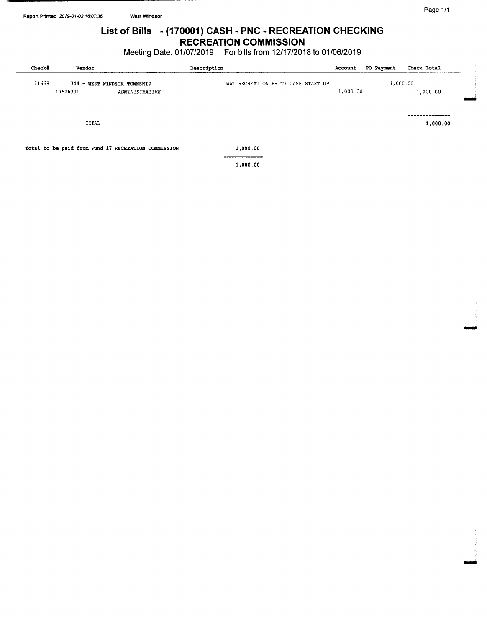# List of Bills - (170001) CASH - PNC - RECREATION CHECKING RECREATION COMMISSION

# Meeting Date: 01/07/2019 For bills from 12/17/2018 to 01/06/2019

| Check# | Vendor   |                                                     | Description                        | Account  | PO Payment | Check Total |
|--------|----------|-----------------------------------------------------|------------------------------------|----------|------------|-------------|
| 21669  |          | 344 - WEST WINDSOR TOWNSHIP                         | WWT RECREATION PETTY CASH START UP |          | 1,000.00   |             |
|        | 17506301 | <b>ADMINISTRATIVE</b>                               |                                    | 1,000.00 |            | 1,000.00    |
|        |          |                                                     |                                    |          |            |             |
|        |          |                                                     |                                    |          |            |             |
|        | TOTAL    |                                                     |                                    |          |            | 1,000.00    |
|        |          |                                                     |                                    |          |            |             |
|        |          | Total to be paid from Fund 17 RECREATION COMMISSION | 1,000.00                           |          |            |             |
|        |          |                                                     |                                    |          |            |             |
|        |          |                                                     | 1,000.00                           |          |            |             |

Si

OMNI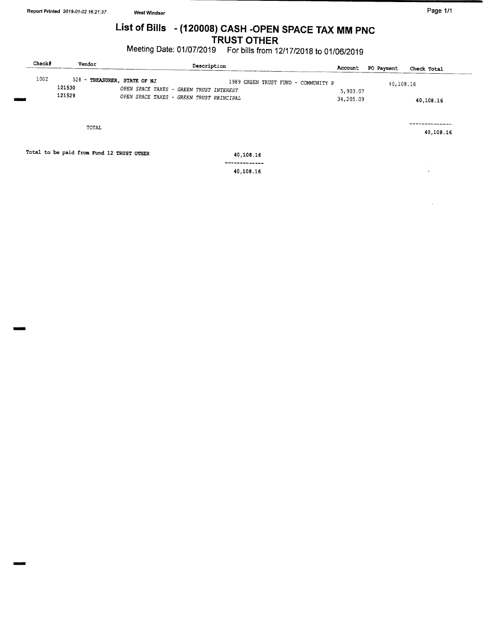MONO

# List of Bills - (120008) CASH - OPEN SPACE TAX MM PNC TRUST OTHER

Meeting Date: 01/07/2019 For bills from 12/17/2018 to 01/06/2019

| Check# |                  | Vendor                                    |                                                                                                                     | Description |                         |                                     | Account               | PO Payment | Check Total |           |
|--------|------------------|-------------------------------------------|---------------------------------------------------------------------------------------------------------------------|-------------|-------------------------|-------------------------------------|-----------------------|------------|-------------|-----------|
| 1002   | 121530<br>121529 |                                           | 528 - TREASURER, STATE OF NJ<br>OPEN SPACE TAXES - GREEN TRUST INTEREST<br>OPEN SPACE TAXES - GREEN TRUST PRINCIPAL |             |                         | 1989 GREEN TRUST FUND - COMMUNITY P | 5,903.07<br>34,205.09 | 40,108.16  | 40,108.16   |           |
|        |                  | TOTAL                                     |                                                                                                                     |             |                         |                                     |                       |            |             | 40,108.16 |
|        |                  | Total to be paid from Fund 12 TRUST OTHER |                                                                                                                     |             | 40,108.16               |                                     |                       |            |             |           |
|        |                  |                                           |                                                                                                                     |             | ----------<br>40,108.16 |                                     |                       |            | $\bullet$   |           |
|        |                  |                                           |                                                                                                                     |             |                         |                                     |                       |            |             |           |